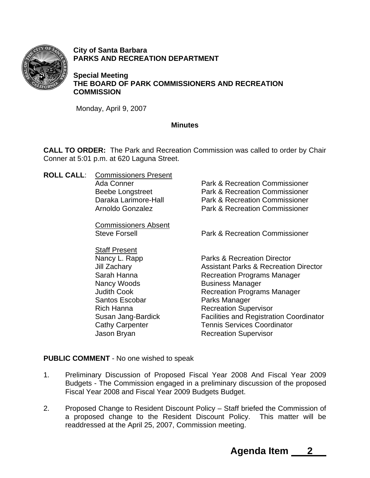

**City of Santa Barbara PARKS AND RECREATION DEPARTMENT** 

**Special Meeting THE BOARD OF PARK COMMISSIONERS AND RECREATION COMMISSION** 

Monday, April 9, 2007

## **Minutes**

**CALL TO ORDER:** The Park and Recreation Commission was called to order by Chair Conner at 5:01 p.m. at 620 Laguna Street.

**ROLL CALL**: Commissioners Present Ada Conner **Park & Recreation Commissioner** Beebe Longstreet Park & Recreation Commissioner Daraka Larimore-Hall Park & Recreation Commissioner Arnoldo Gonzalez Park & Recreation Commissioner Commissioners Absent Steve Forsell Park & Recreation Commissioner Staff Present Nancy L. Rapp Parks & Recreation Director Jill Zachary Assistant Parks & Recreation Director Sarah Hanna **Recreation Programs Manager** Nancy Woods Business Manager Judith Cook **Recreation Programs Manager** Santos Escobar Parks Manager Rich Hanna Recreation Supervisor Susan Jang-Bardick Facilities and Registration Coordinator Cathy Carpenter **Tennis Services Coordinator** Jason Bryan Recreation Supervisor

## **PUBLIC COMMENT** - No one wished to speak

- 1. Preliminary Discussion of Proposed Fiscal Year 2008 And Fiscal Year 2009 Budgets - The Commission engaged in a preliminary discussion of the proposed Fiscal Year 2008 and Fiscal Year 2009 Budgets Budget.
- 2. Proposed Change to Resident Discount Policy Staff briefed the Commission of a proposed change to the Resident Discount Policy. This matter will be readdressed at the April 25, 2007, Commission meeting.